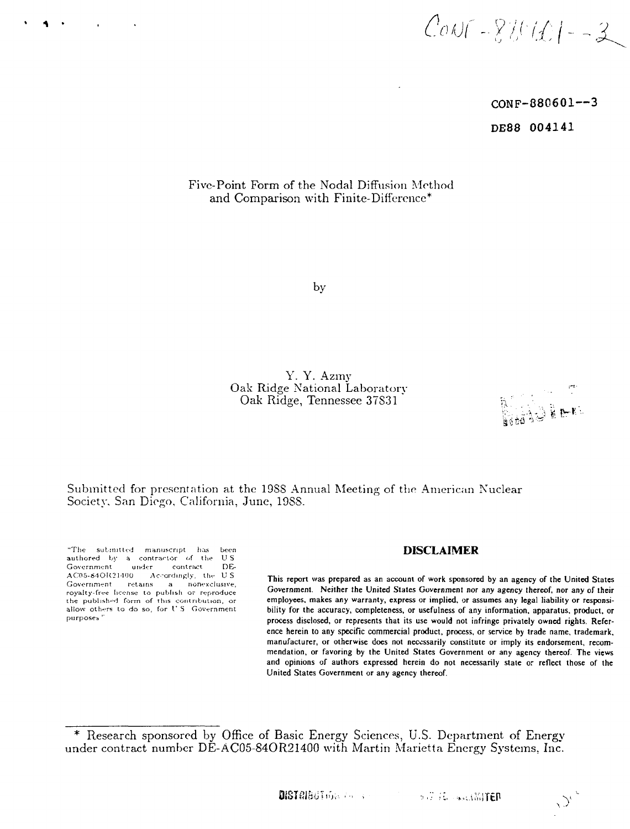$CovF - 820(01 - 3)$ 

**CONF-880601---3 DE88 004141**

# Five-Point Form of the Nodal Diffusion Method and Comparison with Finite-Difference\*

by

Y. Y. Azmy Oak Ridge National Laboratory Oak Ridge, Tennessee 37S31

 $\mathcal{O}^{\epsilon}$ 

Submitted for presentation at the 19SS Annual Meeting of the American Nuclear Society, San Diego, California, June, 19SS.

"The submitted manuscript his been **DISCLAIMER** authored by a contractor of the US<br>Government under contract DE-Government under contract DE-<br>AC05-84OR21400 Accordingly, the U.S. Government retains a nonexclusive, royalty-free license to publish or reproduce the published form of this contribution, or

This report was prepared as an account of work sponsored by an agency of the United States Government. Neither the United States Government nor any agency thereof, nor any of their the published form of this contribution, or **employees, makes any warranty, express or implied, or assumes any legal liability or responsi-<br>allow others to do so, for U.S. Government bility for the accuracy, completeness,** allow others to do so, for *V* S Government **bility for the accuracy, completeness, or usefulness of any information, apparatus, product, or** process disclosed, or represents that its use would not infringe privately owned rights. Reference herein to any specific commercial product, process, or service by trade name, trademark, manufacturer, or otherwise does not necessarily constitute or imply its endorsement, recommendation, or favoring by the United States Government or any agency thereof. The views and opinions of authors expressed herein do not necessarily state or reflect those of the United States Government or any agency thereof.

<sup>\*</sup> Research sponsored by Office of Basic Energy Sciences, U.S. Department of Energy under contract number DE-AC05-84OR21400 with Martin Marietta Energy Systems, Inc.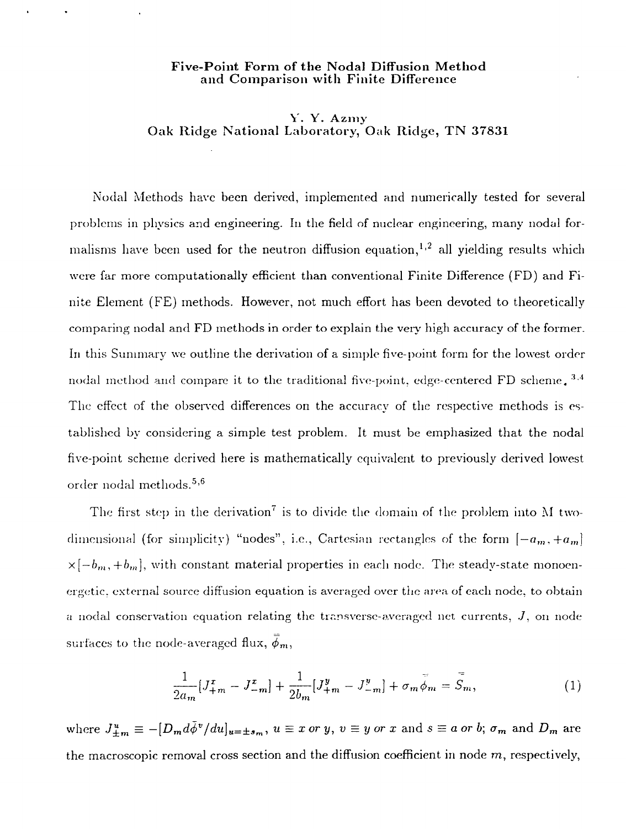## **Five-Point Form of the Nodal Diffusion Method and Comparison with** Finite Difference

# Y. Y. Azmy Oak Ridge National Laboratory, Oak Ridge, TN 37831

Nodal Methods have been derived, implemented and numerically tested for several problems in physics and engineering. In the field of nuclear engineering, many nodal formalisms have been used for the neutron diffusion equation,<sup>1,2</sup> all yielding results which were far more computationally efficient than conventional Finite Difference (FD) and Finite Element (FE) methods. However, not much effort has been devoted to theoretically comparing nodal and FD methods in order to explain the very high accuracy of the former. In this Summary we outline the derivation of a simple five-point form for the lowest order nodal method and compare it to the traditional five-point, edge-centered FD scheme.<sup>3.4</sup> The effect of the observed differences on the accuracy of the respective methods is established by considering a simple test problem. It must be emphasized that the nodal five-point scheme derived here is mathematically equivalent to previously derived lowest order nodal methods. $^{\rm 5,6}$ 

The first step in the derivation<sup>7</sup> is to divide the domain of the problem into M twodimensional (for simplicity) "nodes", i.e., Cartesian rectangles of the form  $[-a_m, +a_m]$  $x[-b_m,+b_m]$ , with constant material properties in each node. The steady-state monoenergetic. external source diffusion equation is averaged over the area of each node, to obtain a nodal conservation equation relating the transverse-averaged net currents,  $J$ , on node surfaces to the node-averaged flux,  $\bar{\phi}_m$ ,

$$
\frac{1}{2a_m}[J_{+m}^x - J_{-m}^x] + \frac{1}{2b_m}[J_{+m}^y - J_{-m}^y] + \sigma_m \bar{\phi}_m = \bar{S}_m,
$$
\n(1)

where  $J_{+m}^u \equiv -[D_m d\bar{\phi}^v/du]_{u=\pm s_m}$ ,  $u \equiv x$  *or y*,  $v \equiv y$  *or x* and  $s \equiv a$  *or b*;  $\sigma_m$  and  $D_m$  are the macroscopic removal cross section and the diffusion coefficient in node  $m$ , respectively,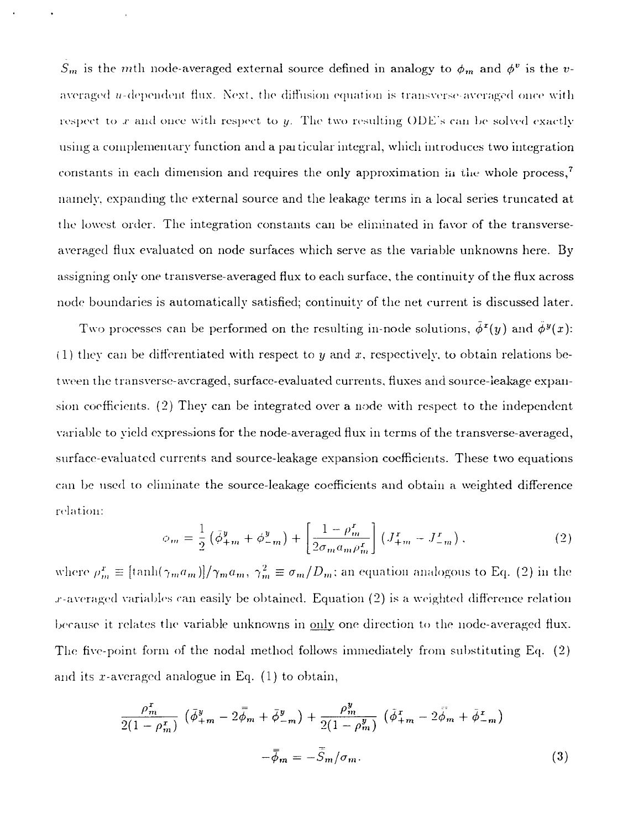$S_m$  is the *m*th node-averaged external source defined in analogy to  $\phi_m$  and  $\phi^v$  is the *v*averaged *u*-dependent flux. Next, the diffusion equation is transverse-averaged once with respect to x and once with respect to y. The two resulting ODE's can be solved exactly using a complementary function and a pai ticular integral, which introduces two integration constants in each dimension and requires the only approximation in the whole process,<sup>7</sup> namely, expanding the external source and the leakage terms in a local series truncated at the lowest order. The integration constants can be eliminated in favor of the transverseaveraged flux evaluated on node surfaces which serve as the variable unknowns here. By assigning only one transverse-averaged flux to each surface, the continuity of the flux across node boundaries is automatically satisfied; continuity of the net current is discussed later.

Two processes can be performed on the resulting in-node solutions,  $\bar{\phi}^x(y)$  and  $\bar{\phi}^y(x)$ :  $(1)$  they can be differentiated with respect to y and x, respectively, to obtain relations between the transverse-averaged, surface-evaluated currents, fluxes and source-leakage expansion coefficients. (2) They can be integrated over a node with respect to the independent variable to yield expressions for the node-averaged flux in terms of the transverse-averaged, surface-evaluated currents and source-leakage expansion coefficients. These two equations can be used to eliminate the source-leakage coefficients and obtain a weighted difference relation:

$$
\phi_m = \frac{1}{2} \left( \bar{\phi}_{+m}^y + \phi_{-m}^y \right) + \left[ \frac{1 - \rho_m^r}{2\sigma_m a_m \rho_m^r} \right] \left( J_{+m}^x - J_{-m}^x \right), \tag{2}
$$

where  $\rho_m^x \equiv [\tanh(\gamma_m a_m)]/\gamma_m a_m, \ \gamma_m^2 \equiv \sigma_m/D_m;$  an equation analogous to Eq. (2) in the  $x$ -averaged variables can easily be obtained. Equation  $(2)$  is a weighted difference relation because it relates the variable unknowns in only one direction to the node-averaged flux. The five-point form of the nodal method follows immediately from substituting Eq. (2) and its x-averaged analogue in Eq.  $(1)$  to obtain,

$$
\frac{\rho_m^x}{2(1-\rho_m^x)} \left( \bar{\phi}_{+m}^y - 2\bar{\phi}_m + \bar{\phi}_{-m}^y \right) + \frac{\rho_m^y}{2(1-\rho_m^y)} \left( \bar{\phi}_{+m}^x - 2\bar{\phi}_m + \bar{\phi}_{-m}^z \right) - \bar{\phi}_m = -\bar{S}_m/\sigma_m.
$$
\n(3)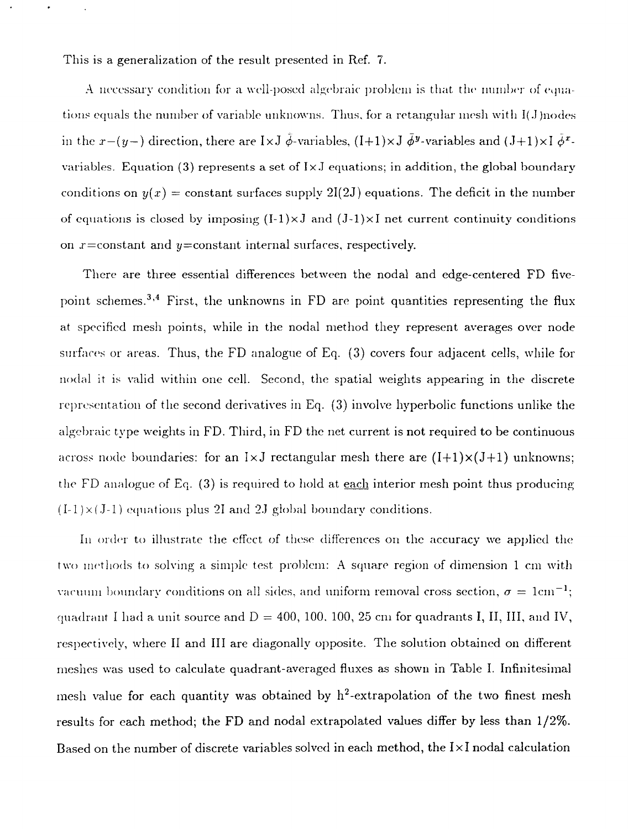This is a generalization of the result presented in Ref. 7.

A necessary condition for a well-posed algebraic problem is that, the number of equations equals the number of variable unknowns. Thus, for a retangular mesh with I(J)nodes in the  $x-(y-)$  direction, there are IxJ  $\tilde{\phi}$ -variables, (I+1)xJ  $\bar{\phi}^y$ -variables and (J+1)xI  $\tilde{\phi}^x$ variables. Equation (3) represents a set of I $\times$ J equations; in addition, the global boundary conditions on  $y(x)$  = constant surfaces supply 2I(2J) equations. The deficit in the number of equations is closed by imposing  $(I-1)\times J$  and  $(J-1)\times I$  net current continuity conditions on  $x = constant$  and  $y = constant$  internal surfaces, respectively.

There are three essential differences between the nodal and edge-centered FD fivepoint schemes.<sup>3,4</sup> First, the unknowns in FD are point quantities representing the flux at specified mesh points, while in the nodal method they represent averages over node surfaces or areas. Thus, the FD analogue of Eq. (3) covers four adjacent cells, while for nodal it is valid within one cell. Second, the spatial weights appearing in the discrete representation of the second derivatives in Eq. (3) involve hyperbolic functions unlike the algebraic type weights in FD. Third, in FD the net current is not required to be continuous across node boundaries: for an  $1\times J$  rectangular mesh there are  $(I+1)\times (J+1)$  unknowns; the FD analogue of Eq.  $(3)$  is required to hold at each interior mesh point thus producing  $(I-1)\times (J-1)$  equations plus 21 and 2J global boundary conditions.

In order to illustrate the effect of these differences on the accuracy we applied the two methods to solving a simple test problem: A square region of dimension 1 cm with vacuum boundary conditions on all sides, and uniform removal cross section,  $\sigma = 1 \text{cm}^{-1};$ quadrant I had a unit source and  $D = 400, 100, 100, 25$  cm for quadrants I, II, III, and IV, respectively, where II and III are diagonally opposite. The solution obtained on different meshes was used to calculate quadrant-averaged fluxes as shown in Table I. Infinitesimal mesh value for each quantity was obtained by  $h^2$ -extrapolation of the two finest mesh results for each method; the FD and nodal extrapolated values differ by less than 1/2%. Based on the number of discrete variables solved in each method, the  $I\times I$  nodal calculation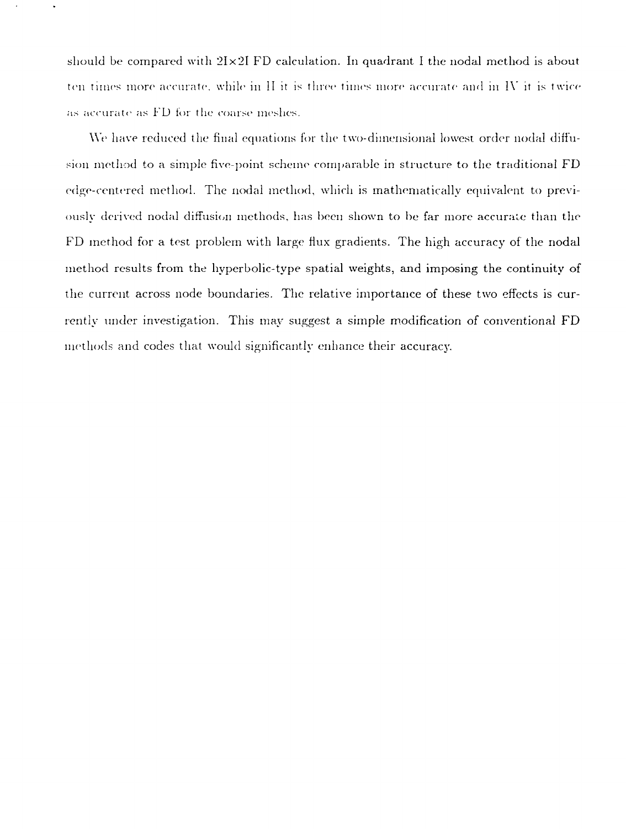should be compared with  $2I \times 2I$  FD calculation. In quadrant I the nodal method is about ten times more accurate, while in  $\Pi$  it is three times more accurate and in  $W$  it is twice as accurate as FD for the coarse meshes.

We have reduced the final equations for the two-dimensional lowest order nodal diffusion method to a simple five-point scheme comparable in structure to the traditional FD edge-centered method. The nodal method, which is mathematically equivalent to previously derived nodal diffusion methods, has been shown to be far more accurate than the FD method for a test problem with large flux gradients. The high accuracy of the nodal method results from the hyperbolic-type spatial weights, and imposing the continuity of the current across node boundaries. The relative importance of these two effects is currently under investigation. This may suggest a simple modification of conventional FD methods and codes that would significantlv enhance their accuracy.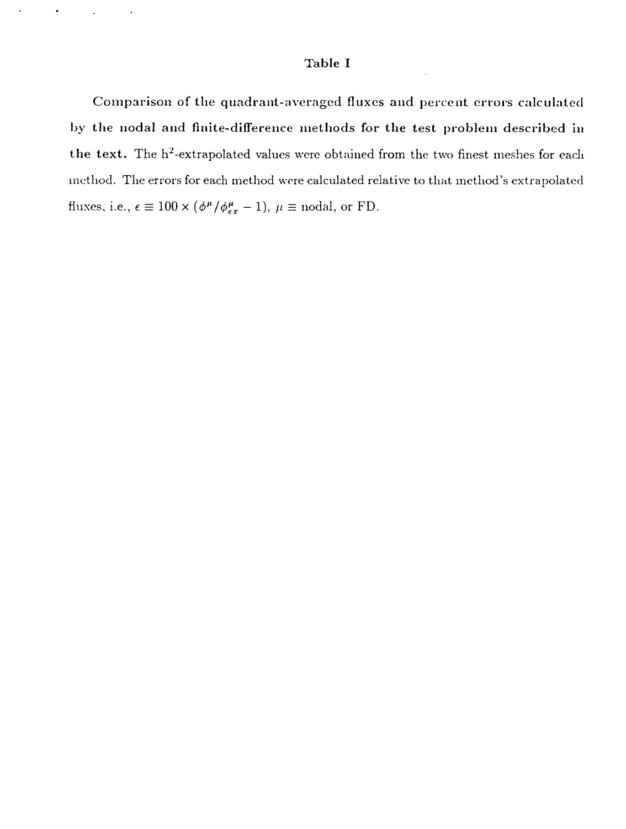## **Table I**

**Comparison of the quadrant-averaged fluxes and percent errors calculated by the nodal and finite-difference methods for the test problem described in** the text. The h<sup>2</sup>-extrapolated values were obtained from the two finest meshes for each method. The errors for each method wore calculated relative to that method's extrapolated fluxes, i.e.,  $\epsilon \equiv 100 \times (\phi^\mu/\phi^\mu_{ex} - 1)$ ,  $\mu \equiv$  nodal, or FD.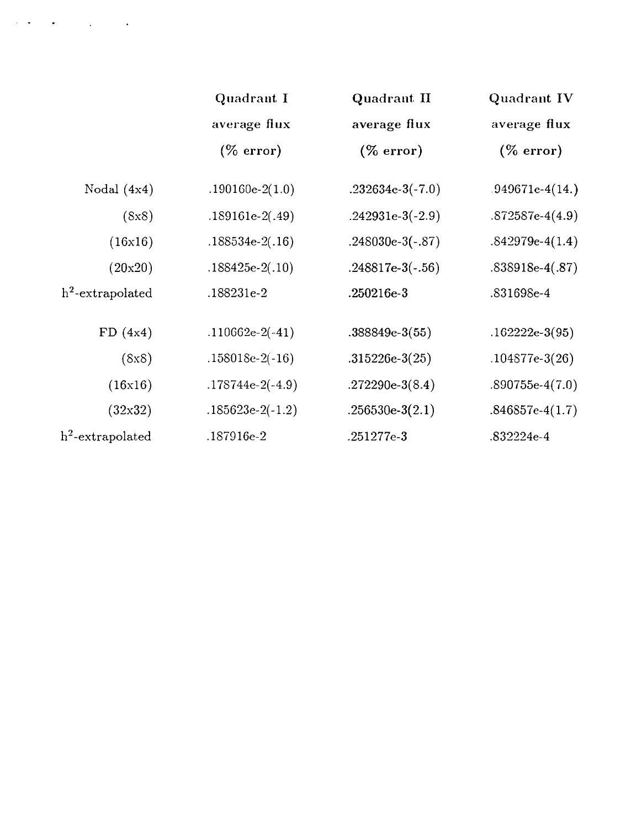|                     | Quadrant I<br>average flux<br>$(\%$ error) | Quadrant II<br>average flux<br>(% error) | Quadrant IV<br>average flux<br>$(\%$ error) |
|---------------------|--------------------------------------------|------------------------------------------|---------------------------------------------|
|                     |                                            |                                          |                                             |
|                     |                                            |                                          |                                             |
| Nodal $(4x4)$       | $.190160e-2(1.0)$                          | $.232634e-3(-7.0)$                       | $.949671e-4(14.)$                           |
| (8x8)               | $.189161e-2(.49)$                          | .242931e-3(-2.9)                         | $.872587e-4(4.9)$                           |
| (16x16)             | $.188534e-2(.16)$                          | $.248030e-3(-.87)$                       | $.842979e-4(1.4)$                           |
| (20x20)             | $.188425e-2(.10)$                          | $.248817e-3(-.56)$                       | $.838918e-4(.87)$                           |
| $h^2$ -extrapolated | .188231e-2                                 | $.250216e-3$                             | .831698e-4                                  |
| FD(4x4)             | $.110662e-2(-41)$                          | $.388849e-3(55)$                         | $.162222e-3(95)$                            |
| (8x8)               | $.158018e-2(-16)$                          | $.315226e-3(25)$                         | $.104877e-3(26)$                            |
| (16x16)             | $.178744e-2(-4.9)$                         | .272290e-3 $(8.4)$                       | $.890755e-4(7.0)$                           |
| (32x32)             | $.185623e-2(-1.2)$                         | $.256530e-3(2.1)$                        | $.846857e-4(1.7)$                           |
| $h^2$ -extrapolated | .187916e-2                                 | .251277e-3                               | .832224e-4                                  |

 $\mathcal{L}(\mathbf{A}) = \mathbf{A}(\mathbf{A})$  , where  $\mathcal{L}(\mathbf{A})$  and  $\mathcal{L}(\mathbf{A})$